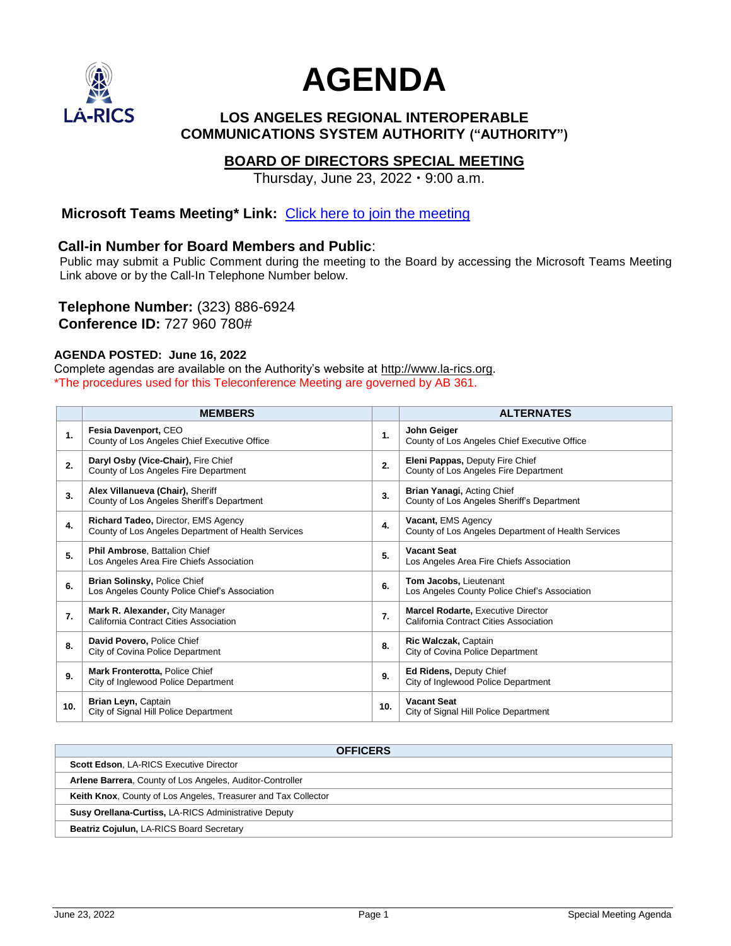

# **AGENDA**

#### **LOS ANGELES REGIONAL INTEROPERABLE COMMUNICATIONS SYSTEM AUTHORITY ("AUTHORITY")**

#### **BOARD OF DIRECTORS SPECIAL MEETING**

Thursday, June 23,  $2022 \cdot 9:00$  a.m.

#### **Microsoft Teams Meeting\* Link:** [Click here to join the meeting](https://teams.microsoft.com/l/meetup-join/19%3ameeting_OGYyZmFhNzgtMGUzYi00OGMzLWExNzEtOTU4ZWQ3MzZjYjM0%40thread.v2/0?context=%7b%22Tid%22%3a%2237247798-f42c-42fd-8a37-d49c7128d36b%22%2c%22Oid%22%3a%22388104b5-05f9-44a0-986d-e58cb9a7d5d1%22%7d)

#### **Call-in Number for Board Members and Public**:

Public may submit a Public Comment during the meeting to the Board by accessing the Microsoft Teams Meeting Link above or by the Call-In Telephone Number below.

**Telephone Number:** (323) 886-6924 **Conference ID:** 727 960 780#

#### **AGENDA POSTED: June 16, 2022**

Complete agendas are available on the Authority's website at http:/[/www.la-rics.org.](http://www.la-rics.org/) \*The procedures used for this Teleconference Meeting are governed by AB 361.

|     | <b>MEMBERS</b>                                                                             |     | <b>ALTERNATES</b>                                                            |
|-----|--------------------------------------------------------------------------------------------|-----|------------------------------------------------------------------------------|
| 1.  | Fesia Davenport, CEO<br>County of Los Angeles Chief Executive Office                       | 1.  | John Geiger<br>County of Los Angeles Chief Executive Office                  |
| 2.  | Daryl Osby (Vice-Chair), Fire Chief<br>County of Los Angeles Fire Department               | 2.  | Eleni Pappas, Deputy Fire Chief<br>County of Los Angeles Fire Department     |
| 3.  | Alex Villanueva (Chair), Sheriff<br>County of Los Angeles Sheriff's Department             | 3.  | Brian Yanagi, Acting Chief<br>County of Los Angeles Sheriff's Department     |
| 4.  | Richard Tadeo, Director, EMS Agency<br>County of Los Angeles Department of Health Services | 4.  | Vacant, EMS Agency<br>County of Los Angeles Department of Health Services    |
| 5.  | Phil Ambrose, Battalion Chief<br>Los Angeles Area Fire Chiefs Association                  | 5.  | <b>Vacant Seat</b><br>Los Angeles Area Fire Chiefs Association               |
| 6.  | Brian Solinsky, Police Chief<br>Los Angeles County Police Chief's Association              | 6.  | Tom Jacobs, Lieutenant<br>Los Angeles County Police Chief's Association      |
| 7.  | Mark R. Alexander, City Manager<br>California Contract Cities Association                  | 7.  | Marcel Rodarte, Executive Director<br>California Contract Cities Association |
| 8.  | David Povero, Police Chief<br>City of Covina Police Department                             | 8.  | Ric Walczak, Captain<br>City of Covina Police Department                     |
| 9.  | Mark Fronterotta, Police Chief<br>City of Inglewood Police Department                      | 9.  | Ed Ridens, Deputy Chief<br>City of Inglewood Police Department               |
| 10. | Brian Leyn, Captain<br>City of Signal Hill Police Department                               | 10. | <b>Vacant Seat</b><br>City of Signal Hill Police Department                  |

| <b>OFFICERS</b>                                                       |  |  |
|-----------------------------------------------------------------------|--|--|
| <b>Scott Edson, LA-RICS Executive Director</b>                        |  |  |
| Arlene Barrera, County of Los Angeles, Auditor-Controller             |  |  |
| <b>Keith Knox.</b> County of Los Angeles, Treasurer and Tax Collector |  |  |
| <b>Susy Orellana-Curtiss, LA-RICS Administrative Deputy</b>           |  |  |
| Beatriz Cojulun, LA-RICS Board Secretary                              |  |  |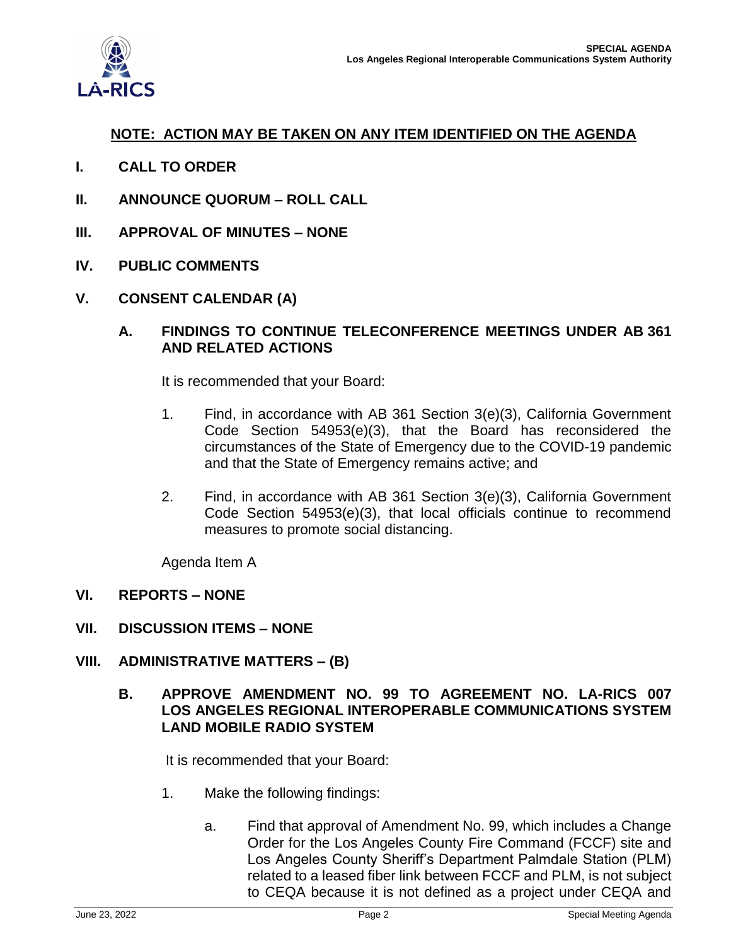

#### **NOTE: ACTION MAY BE TAKEN ON ANY ITEM IDENTIFIED ON THE AGENDA**

- **I. CALL TO ORDER**
- **II. ANNOUNCE QUORUM – ROLL CALL**
- **III. APPROVAL OF MINUTES – NONE**
- **IV. PUBLIC COMMENTS**
- **V. CONSENT CALENDAR (A)**

#### **A. FINDINGS TO CONTINUE TELECONFERENCE MEETINGS UNDER AB 361 AND RELATED ACTIONS**

It is recommended that your Board:

- 1. Find, in accordance with AB 361 Section 3(e)(3), California Government Code Section 54953(e)(3), that the Board has reconsidered the circumstances of the State of Emergency due to the COVID-19 pandemic and that the State of Emergency remains active; and
- 2. Find, in accordance with AB 361 Section 3(e)(3), California Government Code Section 54953(e)(3), that local officials continue to recommend measures to promote social distancing.

Agenda Item A

#### **VI. REPORTS – NONE**

**VII. DISCUSSION ITEMS – NONE**

#### **VIII. ADMINISTRATIVE MATTERS – (B)**

#### **B. APPROVE AMENDMENT NO. 99 TO AGREEMENT NO. LA-RICS 007 LOS ANGELES REGIONAL INTEROPERABLE COMMUNICATIONS SYSTEM LAND MOBILE RADIO SYSTEM**

It is recommended that your Board:

- 1. Make the following findings:
	- a. Find that approval of Amendment No. 99, which includes a Change Order for the Los Angeles County Fire Command (FCCF) site and Los Angeles County Sheriff's Department Palmdale Station (PLM) related to a leased fiber link between FCCF and PLM, is not subject to CEQA because it is not defined as a project under CEQA and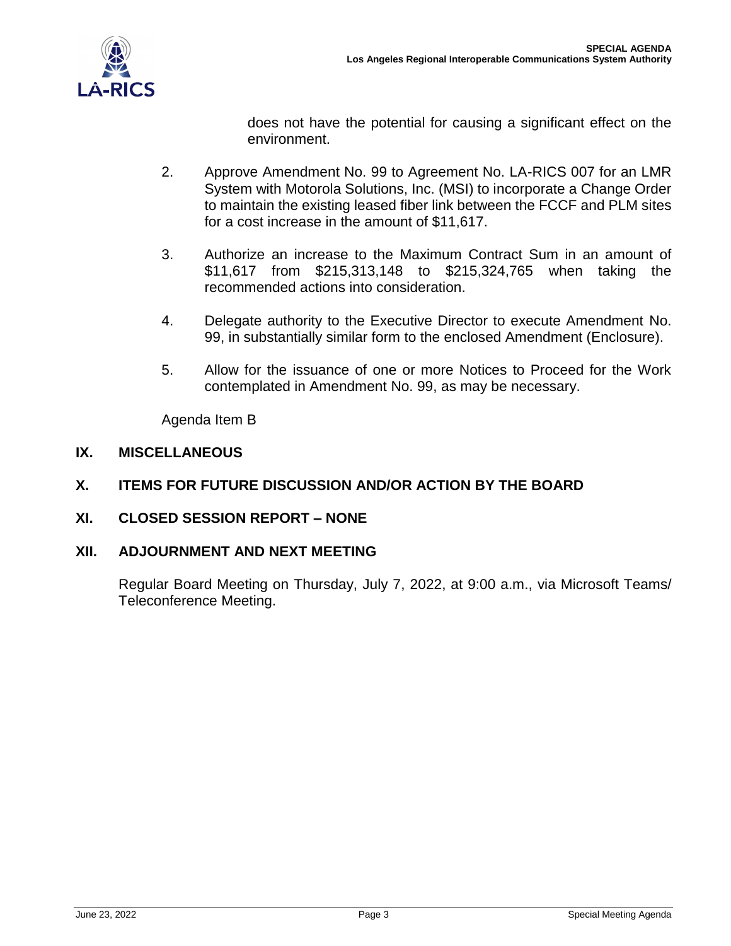

does not have the potential for causing a significant effect on the environment.

- 2. Approve Amendment No. 99 to Agreement No. LA-RICS 007 for an LMR System with Motorola Solutions, Inc. (MSI) to incorporate a Change Order to maintain the existing leased fiber link between the FCCF and PLM sites for a cost increase in the amount of \$11,617.
- 3. Authorize an increase to the Maximum Contract Sum in an amount of \$11,617 from \$215,313,148 to \$215,324,765 when taking the recommended actions into consideration.
- 4. Delegate authority to the Executive Director to execute Amendment No. 99, in substantially similar form to the enclosed Amendment (Enclosure).
- 5. Allow for the issuance of one or more Notices to Proceed for the Work contemplated in Amendment No. 99, as may be necessary.

Agenda Item B

#### **IX. MISCELLANEOUS**

#### **X. ITEMS FOR FUTURE DISCUSSION AND/OR ACTION BY THE BOARD**

**XI. CLOSED SESSION REPORT – NONE**

#### **XII. ADJOURNMENT AND NEXT MEETING**

Regular Board Meeting on Thursday, July 7, 2022, at 9:00 a.m., via Microsoft Teams/ Teleconference Meeting.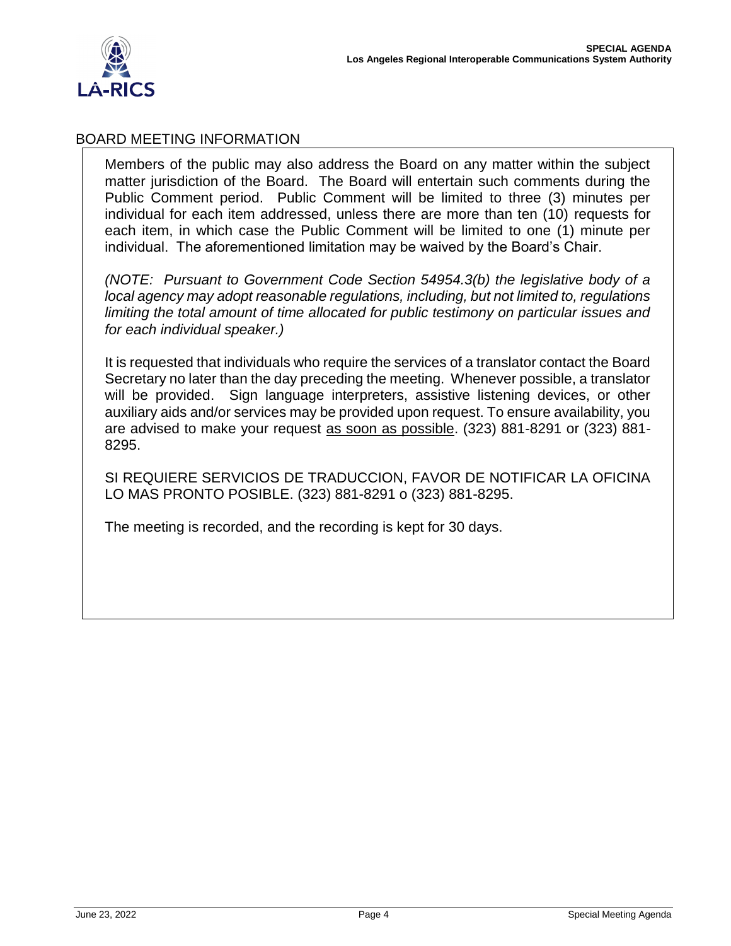

#### BOARD MEETING INFORMATION

Members of the public may also address the Board on any matter within the subject matter jurisdiction of the Board. The Board will entertain such comments during the Public Comment period. Public Comment will be limited to three (3) minutes per individual for each item addressed, unless there are more than ten (10) requests for each item, in which case the Public Comment will be limited to one (1) minute per individual. The aforementioned limitation may be waived by the Board's Chair.

*(NOTE: Pursuant to Government Code Section 54954.3(b) the legislative body of a local agency may adopt reasonable regulations, including, but not limited to, regulations limiting the total amount of time allocated for public testimony on particular issues and for each individual speaker.)*

It is requested that individuals who require the services of a translator contact the Board Secretary no later than the day preceding the meeting. Whenever possible, a translator will be provided. Sign language interpreters, assistive listening devices, or other auxiliary aids and/or services may be provided upon request. To ensure availability, you are advised to make your request as soon as possible. (323) 881-8291 or (323) 881- 8295.

SI REQUIERE SERVICIOS DE TRADUCCION, FAVOR DE NOTIFICAR LA OFICINA LO MAS PRONTO POSIBLE. (323) 881-8291 o (323) 881-8295.

The meeting is recorded, and the recording is kept for 30 days.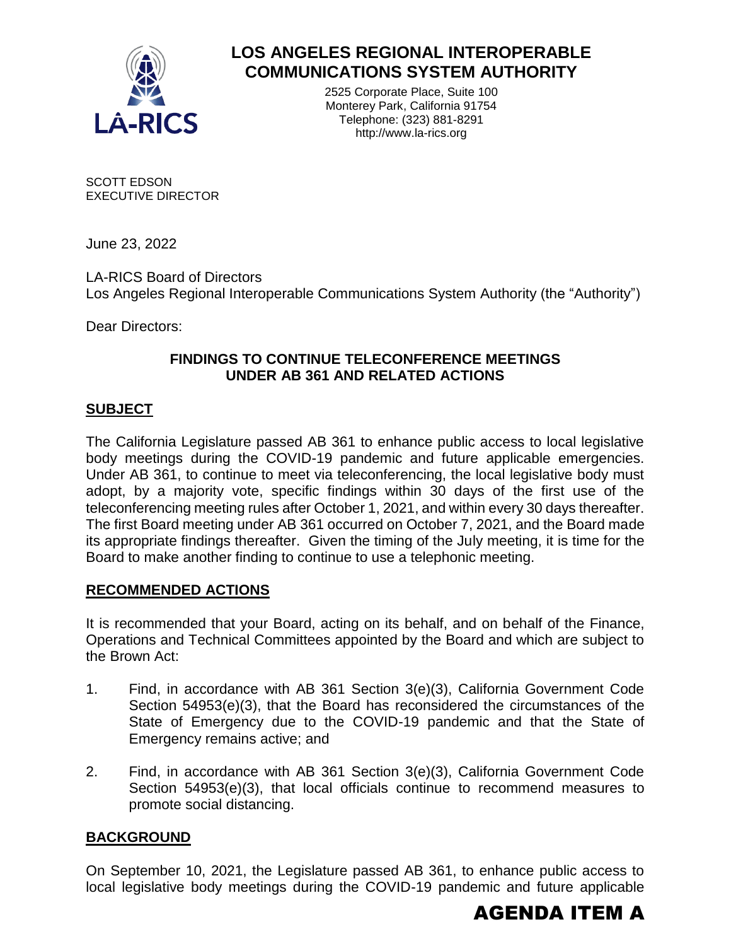

### **LOS ANGELES REGIONAL INTEROPERABLE COMMUNICATIONS SYSTEM AUTHORITY**

2525 Corporate Place, Suite 100 Monterey Park, California 91754 Telephone: (323) 881-8291 http://www.la-rics.org

SCOTT EDSON EXECUTIVE DIRECTOR

June 23, 2022

LA-RICS Board of Directors Los Angeles Regional Interoperable Communications System Authority (the "Authority")

Dear Directors:

#### **FINDINGS TO CONTINUE TELECONFERENCE MEETINGS UNDER AB 361 AND RELATED ACTIONS**

#### **SUBJECT**

The California Legislature passed AB 361 to enhance public access to local legislative body meetings during the COVID-19 pandemic and future applicable emergencies. Under AB 361, to continue to meet via teleconferencing, the local legislative body must adopt, by a majority vote, specific findings within 30 days of the first use of the teleconferencing meeting rules after October 1, 2021, and within every 30 days thereafter. The first Board meeting under AB 361 occurred on October 7, 2021, and the Board made its appropriate findings thereafter. Given the timing of the July meeting, it is time for the Board to make another finding to continue to use a telephonic meeting.

#### **RECOMMENDED ACTIONS**

It is recommended that your Board, acting on its behalf, and on behalf of the Finance, Operations and Technical Committees appointed by the Board and which are subject to the Brown Act:

- 1. Find, in accordance with AB 361 Section 3(e)(3), California Government Code Section 54953(e)(3), that the Board has reconsidered the circumstances of the State of Emergency due to the COVID-19 pandemic and that the State of Emergency remains active; and
- 2. Find, in accordance with AB 361 Section 3(e)(3), California Government Code Section 54953(e)(3), that local officials continue to recommend measures to promote social distancing.

#### **BACKGROUND**

On September 10, 2021, the Legislature passed AB 361, to enhance public access to local legislative body meetings during the COVID-19 pandemic and future applicable

## AGENDA ITEM A